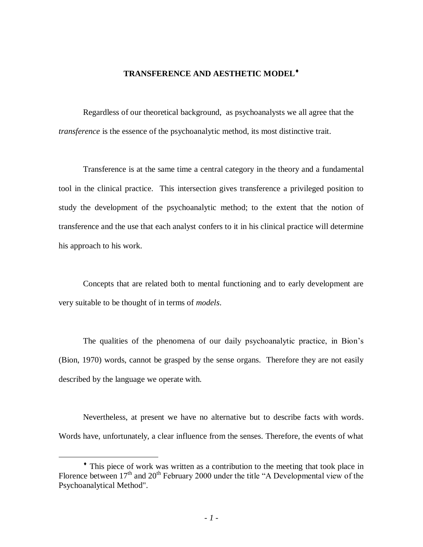# **TRANSFERENCE AND AESTHETIC MODEL**

Regardless of our theoretical background, as psychoanalysts we all agree that the *transference* is the essence of the psychoanalytic method, its most distinctive trait.

Transference is at the same time a central category in the theory and a fundamental tool in the clinical practice. This intersection gives transference a privileged position to study the development of the psychoanalytic method; to the extent that the notion of transference and the use that each analyst confers to it in his clinical practice will determine his approach to his work.

Concepts that are related both to mental functioning and to early development are very suitable to be thought of in terms of *models*.

The qualities of the phenomena of our daily psychoanalytic practice, in Bion's (Bion, 1970) words, cannot be grasped by the sense organs. Therefore they are not easily described by the language we operate with.

Nevertheless, at present we have no alternative but to describe facts with words. Words have, unfortunately, a clear influence from the senses. Therefore, the events of what

 $\overline{a}$ 

This piece of work was written as a contribution to the meeting that took place in Florence between  $17<sup>th</sup>$  and  $20<sup>th</sup>$  February 2000 under the title "A Developmental view of the Psychoanalytical Method".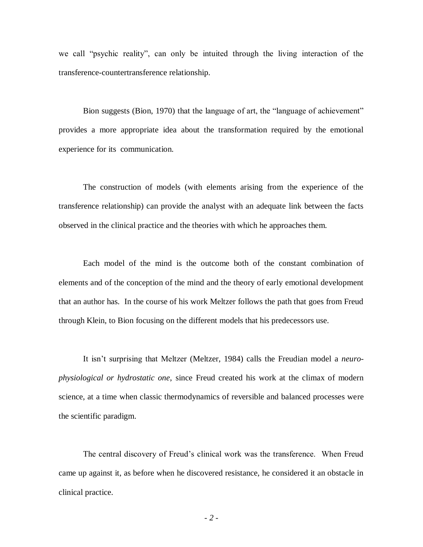we call "psychic reality", can only be intuited through the living interaction of the transference-countertransference relationship.

Bion suggests (Bion, 1970) that the language of art, the "language of achievement" provides a more appropriate idea about the transformation required by the emotional experience for its communication.

The construction of models (with elements arising from the experience of the transference relationship) can provide the analyst with an adequate link between the facts observed in the clinical practice and the theories with which he approaches them.

Each model of the mind is the outcome both of the constant combination of elements and of the conception of the mind and the theory of early emotional development that an author has. In the course of his work Meltzer follows the path that goes from Freud through Klein, to Bion focusing on the different models that his predecessors use.

It isn't surprising that Meltzer (Meltzer, 1984) calls the Freudian model a *neurophysiological or hydrostatic one*, since Freud created his work at the climax of modern science, at a time when classic thermodynamics of reversible and balanced processes were the scientific paradigm.

The central discovery of Freud's clinical work was the transference. When Freud came up against it, as before when he discovered resistance, he considered it an obstacle in clinical practice.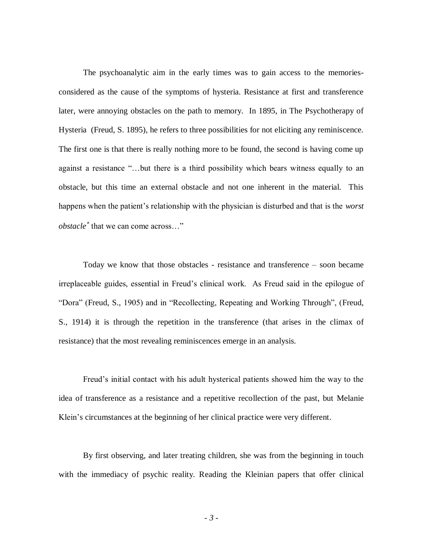The psychoanalytic aim in the early times was to gain access to the memoriesconsidered as the cause of the symptoms of hysteria. Resistance at first and transference later, were annoying obstacles on the path to memory. In 1895, in The Psychotherapy of Hysteria (Freud, S. 1895), he refers to three possibilities for not eliciting any reminiscence. The first one is that there is really nothing more to be found, the second is having come up against a resistance "…but there is a third possibility which bears witness equally to an obstacle, but this time an external obstacle and not one inherent in the material. This happens when the patient's relationship with the physician is disturbed and that is the *worst obstacle*<sup>\*</sup> that we can come across..."

Today we know that those obstacles - resistance and transference – soon became irreplaceable guides, essential in Freud's clinical work. As Freud said in the epilogue of "Dora" (Freud, S., 1905) and in "Recollecting, Repeating and Working Through", (Freud, S., 1914) it is through the repetition in the transference (that arises in the climax of resistance) that the most revealing reminiscences emerge in an analysis.

Freud's initial contact with his adult hysterical patients showed him the way to the idea of transference as a resistance and a repetitive recollection of the past, but Melanie Klein's circumstances at the beginning of her clinical practice were very different.

By first observing, and later treating children, she was from the beginning in touch with the immediacy of psychic reality. Reading the Kleinian papers that offer clinical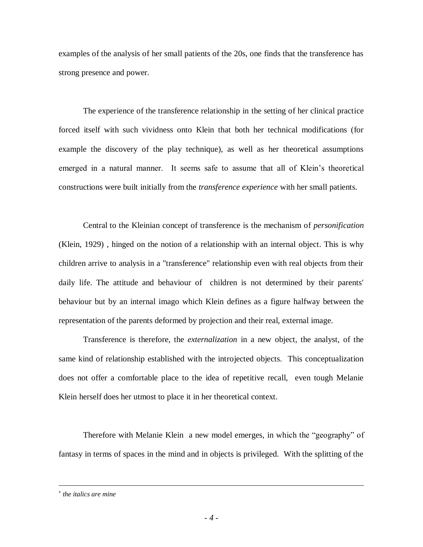examples of the analysis of her small patients of the 20s, one finds that the transference has strong presence and power.

The experience of the transference relationship in the setting of her clinical practice forced itself with such vividness onto Klein that both her technical modifications (for example the discovery of the play technique), as well as her theoretical assumptions emerged in a natural manner. It seems safe to assume that all of Klein's theoretical constructions were built initially from the *transference experience* with her small patients.

Central to the Kleinian concept of transference is the mechanism of *personification* (Klein, 1929) , hinged on the notion of a relationship with an internal object. This is why children arrive to analysis in a "transference" relationship even with real objects from their daily life. The attitude and behaviour of children is not determined by their parents' behaviour but by an internal imago which Klein defines as a figure halfway between the representation of the parents deformed by projection and their real, external image.

Transference is therefore, the *externalization* in a new object, the analyst, of the same kind of relationship established with the introjected objects. This conceptualization does not offer a comfortable place to the idea of repetitive recall, even tough Melanie Klein herself does her utmost to place it in her theoretical context.

Therefore with Melanie Klein a new model emerges, in which the "geography" of fantasy in terms of spaces in the mind and in objects is privileged. With the splitting of the

 $\overline{a}$ 

*the italics are mine*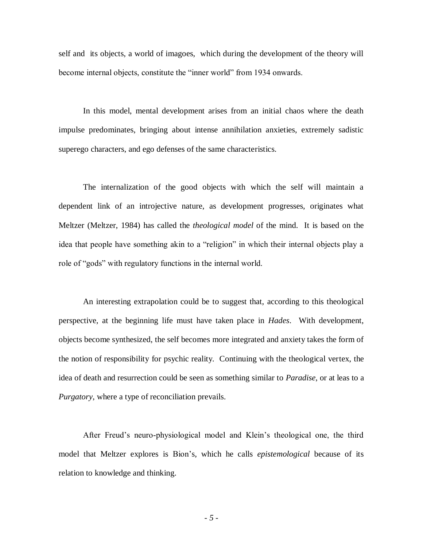self and its objects, a world of imagoes, which during the development of the theory will become internal objects, constitute the "inner world" from 1934 onwards.

In this model, mental development arises from an initial chaos where the death impulse predominates, bringing about intense annihilation anxieties, extremely sadistic superego characters, and ego defenses of the same characteristics.

The internalization of the good objects with which the self will maintain a dependent link of an introjective nature, as development progresses, originates what Meltzer (Meltzer, 1984) has called the *theological model* of the mind. It is based on the idea that people have something akin to a "religion" in which their internal objects play a role of "gods" with regulatory functions in the internal world.

An interesting extrapolation could be to suggest that, according to this theological perspective, at the beginning life must have taken place in *Hades*. With development, objects become synthesized, the self becomes more integrated and anxiety takes the form of the notion of responsibility for psychic reality. Continuing with the theological vertex, the idea of death and resurrection could be seen as something similar to *Paradise*, or at leas to a *Purgatory*, where a type of reconciliation prevails.

After Freud's neuro-physiological model and Klein's theological one, the third model that Meltzer explores is Bion's, which he calls *epistemological* because of its relation to knowledge and thinking.

*- 5 -*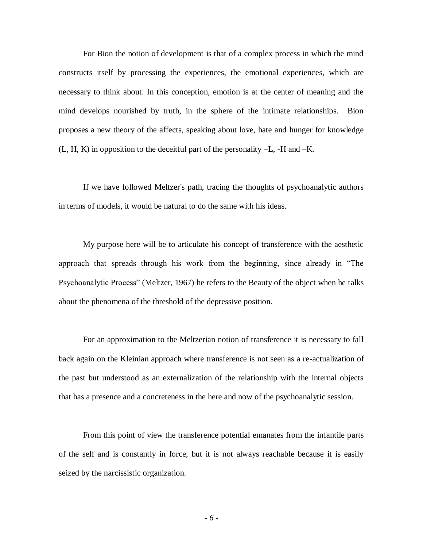For Bion the notion of development is that of a complex process in which the mind constructs itself by processing the experiences, the emotional experiences, which are necessary to think about. In this conception, emotion is at the center of meaning and the mind develops nourished by truth, in the sphere of the intimate relationships. Bion proposes a new theory of the affects, speaking about love, hate and hunger for knowledge (L, H, K) in opposition to the deceitful part of the personality –L, -H and –K.

If we have followed Meltzer's path, tracing the thoughts of psychoanalytic authors in terms of models, it would be natural to do the same with his ideas.

My purpose here will be to articulate his concept of transference with the aesthetic approach that spreads through his work from the beginning, since already in "The Psychoanalytic Process" (Meltzer, 1967) he refers to the Beauty of the object when he talks about the phenomena of the threshold of the depressive position.

For an approximation to the Meltzerian notion of transference it is necessary to fall back again on the Kleinian approach where transference is not seen as a re-actualization of the past but understood as an externalization of the relationship with the internal objects that has a presence and a concreteness in the here and now of the psychoanalytic session.

From this point of view the transference potential emanates from the infantile parts of the self and is constantly in force, but it is not always reachable because it is easily seized by the narcissistic organization.

*- 6 -*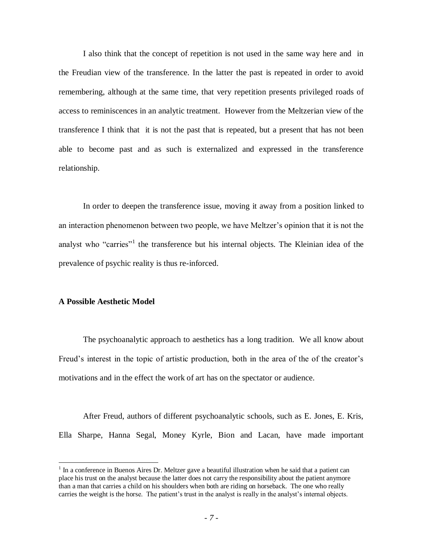I also think that the concept of repetition is not used in the same way here and in the Freudian view of the transference. In the latter the past is repeated in order to avoid remembering, although at the same time, that very repetition presents privileged roads of access to reminiscences in an analytic treatment. However from the Meltzerian view of the transference I think that it is not the past that is repeated, but a present that has not been able to become past and as such is externalized and expressed in the transference relationship.

In order to deepen the transference issue, moving it away from a position linked to an interaction phenomenon between two people, we have Meltzer's opinion that it is not the analyst who "carries"<sup>1</sup> the transference but his internal objects. The Kleinian idea of the prevalence of psychic reality is thus re-inforced.

## **A Possible Aesthetic Model**

 $\overline{a}$ 

The psychoanalytic approach to aesthetics has a long tradition. We all know about Freud's interest in the topic of artistic production, both in the area of the of the creator's motivations and in the effect the work of art has on the spectator or audience.

After Freud, authors of different psychoanalytic schools, such as E. Jones, E. Kris, Ella Sharpe, Hanna Segal, Money Kyrle, Bion and Lacan, have made important

 $1$  In a conference in Buenos Aires Dr. Meltzer gave a beautiful illustration when he said that a patient can place his trust on the analyst because the latter does not carry the responsibility about the patient anymore than a man that carries a child on his shoulders when both are riding on horseback. The one who really carries the weight is the horse. The patient's trust in the analyst is really in the analyst's internal objects.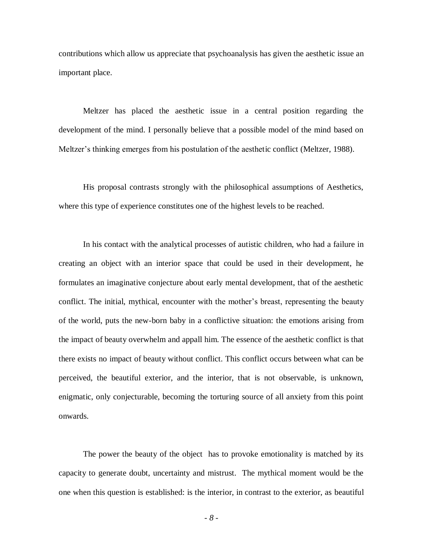contributions which allow us appreciate that psychoanalysis has given the aesthetic issue an important place.

Meltzer has placed the aesthetic issue in a central position regarding the development of the mind. I personally believe that a possible model of the mind based on Meltzer's thinking emerges from his postulation of the aesthetic conflict (Meltzer, 1988).

His proposal contrasts strongly with the philosophical assumptions of Aesthetics, where this type of experience constitutes one of the highest levels to be reached.

In his contact with the analytical processes of autistic children, who had a failure in creating an object with an interior space that could be used in their development, he formulates an imaginative conjecture about early mental development, that of the aesthetic conflict. The initial, mythical, encounter with the mother's breast, representing the beauty of the world, puts the new-born baby in a conflictive situation: the emotions arising from the impact of beauty overwhelm and appall him. The essence of the aesthetic conflict is that there exists no impact of beauty without conflict. This conflict occurs between what can be perceived, the beautiful exterior, and the interior, that is not observable, is unknown, enigmatic, only conjecturable, becoming the torturing source of all anxiety from this point onwards.

The power the beauty of the object has to provoke emotionality is matched by its capacity to generate doubt, uncertainty and mistrust. The mythical moment would be the one when this question is established: is the interior, in contrast to the exterior, as beautiful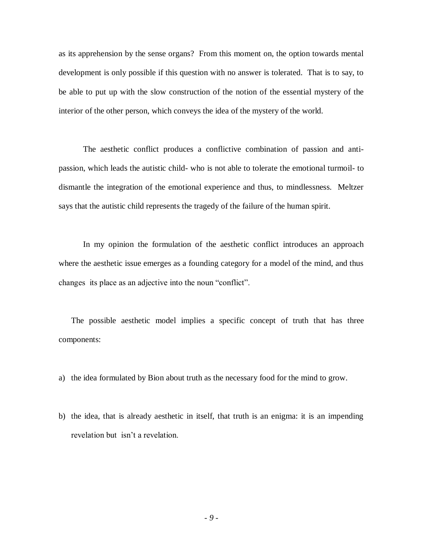as its apprehension by the sense organs? From this moment on, the option towards mental development is only possible if this question with no answer is tolerated. That is to say, to be able to put up with the slow construction of the notion of the essential mystery of the interior of the other person, which conveys the idea of the mystery of the world.

The aesthetic conflict produces a conflictive combination of passion and antipassion, which leads the autistic child- who is not able to tolerate the emotional turmoil- to dismantle the integration of the emotional experience and thus, to mindlessness. Meltzer says that the autistic child represents the tragedy of the failure of the human spirit.

In my opinion the formulation of the aesthetic conflict introduces an approach where the aesthetic issue emerges as a founding category for a model of the mind, and thus changes its place as an adjective into the noun "conflict".

The possible aesthetic model implies a specific concept of truth that has three components:

a) the idea formulated by Bion about truth as the necessary food for the mind to grow.

b) the idea, that is already aesthetic in itself, that truth is an enigma: it is an impending revelation but isn't a revelation.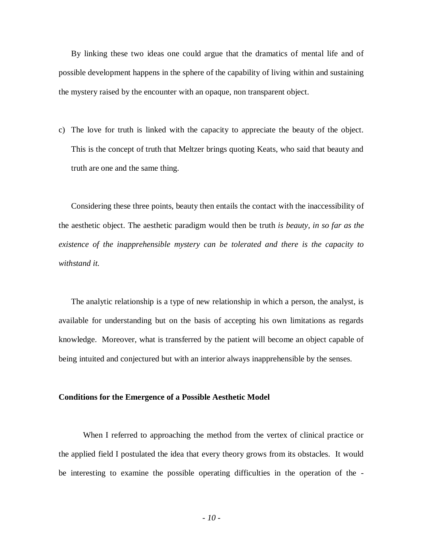By linking these two ideas one could argue that the dramatics of mental life and of possible development happens in the sphere of the capability of living within and sustaining the mystery raised by the encounter with an opaque, non transparent object.

c) The love for truth is linked with the capacity to appreciate the beauty of the object. This is the concept of truth that Meltzer brings quoting Keats, who said that beauty and truth are one and the same thing.

Considering these three points, beauty then entails the contact with the inaccessibility of the aesthetic object. The aesthetic paradigm would then be truth *is beauty, in so far as the existence of the inapprehensible mystery can be tolerated and there is the capacity to withstand it.*

The analytic relationship is a type of new relationship in which a person, the analyst, is available for understanding but on the basis of accepting his own limitations as regards knowledge. Moreover, what is transferred by the patient will become an object capable of being intuited and conjectured but with an interior always inapprehensible by the senses.

### **Conditions for the Emergence of a Possible Aesthetic Model**

When I referred to approaching the method from the vertex of clinical practice or the applied field I postulated the idea that every theory grows from its obstacles. It would be interesting to examine the possible operating difficulties in the operation of the -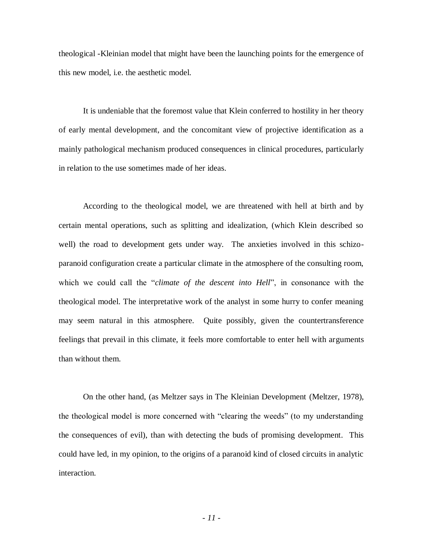theological -Kleinian model that might have been the launching points for the emergence of this new model, i.e. the aesthetic model.

It is undeniable that the foremost value that Klein conferred to hostility in her theory of early mental development, and the concomitant view of projective identification as a mainly pathological mechanism produced consequences in clinical procedures, particularly in relation to the use sometimes made of her ideas.

According to the theological model, we are threatened with hell at birth and by certain mental operations, such as splitting and idealization, (which Klein described so well) the road to development gets under way. The anxieties involved in this schizoparanoid configuration create a particular climate in the atmosphere of the consulting room, which we could call the "*climate of the descent into Hell*", in consonance with the theological model. The interpretative work of the analyst in some hurry to confer meaning may seem natural in this atmosphere. Quite possibly, given the countertransference feelings that prevail in this climate, it feels more comfortable to enter hell with arguments than without them.

On the other hand, (as Meltzer says in The Kleinian Development (Meltzer, 1978), the theological model is more concerned with "clearing the weeds" (to my understanding the consequences of evil), than with detecting the buds of promising development. This could have led, in my opinion, to the origins of a paranoid kind of closed circuits in analytic interaction.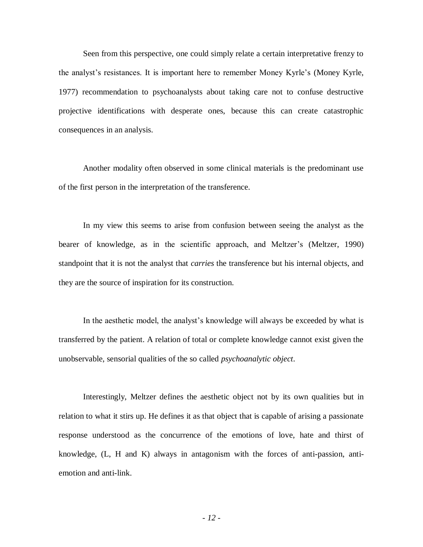Seen from this perspective, one could simply relate a certain interpretative frenzy to the analyst's resistances. It is important here to remember Money Kyrle's (Money Kyrle, 1977) recommendation to psychoanalysts about taking care not to confuse destructive projective identifications with desperate ones, because this can create catastrophic consequences in an analysis.

Another modality often observed in some clinical materials is the predominant use of the first person in the interpretation of the transference.

In my view this seems to arise from confusion between seeing the analyst as the bearer of knowledge, as in the scientific approach, and Meltzer's (Meltzer, 1990) standpoint that it is not the analyst that *carries* the transference but his internal objects, and they are the source of inspiration for its construction.

In the aesthetic model, the analyst's knowledge will always be exceeded by what is transferred by the patient. A relation of total or complete knowledge cannot exist given the unobservable, sensorial qualities of the so called *psychoanalytic object*.

Interestingly, Meltzer defines the aesthetic object not by its own qualities but in relation to what it stirs up. He defines it as that object that is capable of arising a passionate response understood as the concurrence of the emotions of love, hate and thirst of knowledge, (L, H and K) always in antagonism with the forces of anti-passion, antiemotion and anti-link.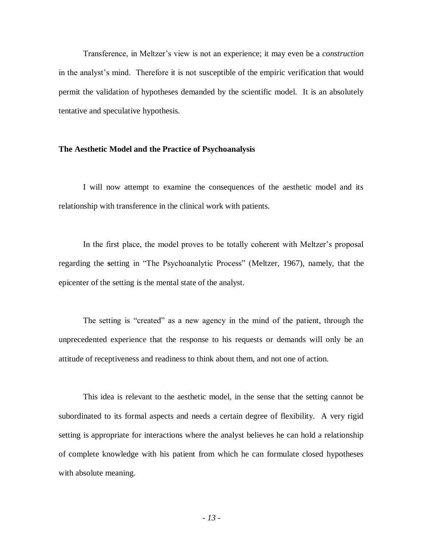Transference, in Meltzer's view is not an experience; it may even be a *construction* in the analyst's mind. Therefore it is not susceptible of the empiric verification that would permit the validation of hypotheses demanded by the scientific model. It is an absolutely tentative and speculative hypothesis.

#### **The Aesthetic Model and the Practice of Psychoanalysis**

I will now attempt to examine the consequences of the aesthetic model and its relationship with transference in the clinical work with patients.

In the first place, the model proves to be totally coherent with Meltzer's proposal regarding the **s**etting in "The Psychoanalytic Process" (Meltzer, 1967), namely, that the epicenter of the setting is the mental state of the analyst.

The setting is "created" as a new agency in the mind of the patient, through the unprecedented experience that the response to his requests or demands will only be an attitude of receptiveness and readiness to think about them, and not one of action.

This idea is relevant to the aesthetic model, in the sense that the setting cannot be subordinated to its formal aspects and needs a certain degree of flexibility. A very rigid setting is appropriate for interactions where the analyst believes he can hold a relationship of complete knowledge with his patient from which he can formulate closed hypotheses with absolute meaning.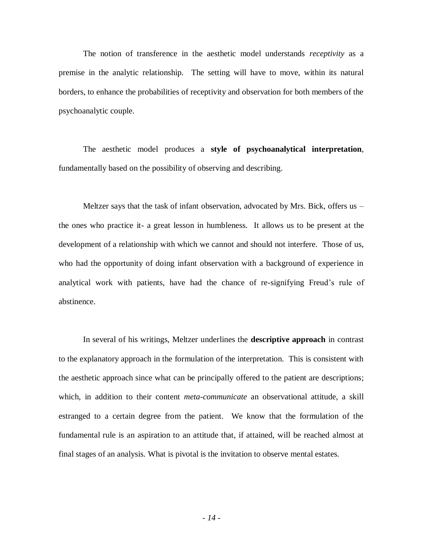The notion of transference in the aesthetic model understands *receptivity* as a premise in the analytic relationship. The setting will have to move, within its natural borders, to enhance the probabilities of receptivity and observation for both members of the psychoanalytic couple.

The aesthetic model produces a **style of psychoanalytical interpretation**, fundamentally based on the possibility of observing and describing.

Meltzer says that the task of infant observation, advocated by Mrs. Bick, offers us – the ones who practice it- a great lesson in humbleness. It allows us to be present at the development of a relationship with which we cannot and should not interfere. Those of us, who had the opportunity of doing infant observation with a background of experience in analytical work with patients, have had the chance of re-signifying Freud's rule of abstinence.

In several of his writings, Meltzer underlines the **descriptive approach** in contrast to the explanatory approach in the formulation of the interpretation. This is consistent with the aesthetic approach since what can be principally offered to the patient are descriptions; which, in addition to their content *meta-communicate* an observational attitude, a skill estranged to a certain degree from the patient. We know that the formulation of the fundamental rule is an aspiration to an attitude that, if attained, will be reached almost at final stages of an analysis. What is pivotal is the invitation to observe mental estates.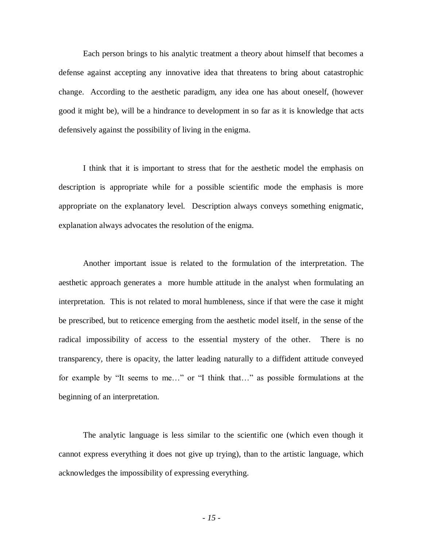Each person brings to his analytic treatment a theory about himself that becomes a defense against accepting any innovative idea that threatens to bring about catastrophic change. According to the aesthetic paradigm, any idea one has about oneself, (however good it might be), will be a hindrance to development in so far as it is knowledge that acts defensively against the possibility of living in the enigma.

I think that it is important to stress that for the aesthetic model the emphasis on description is appropriate while for a possible scientific mode the emphasis is more appropriate on the explanatory level. Description always conveys something enigmatic, explanation always advocates the resolution of the enigma.

Another important issue is related to the formulation of the interpretation. The aesthetic approach generates a more humble attitude in the analyst when formulating an interpretation. This is not related to moral humbleness, since if that were the case it might be prescribed, but to reticence emerging from the aesthetic model itself, in the sense of the radical impossibility of access to the essential mystery of the other. There is no transparency, there is opacity, the latter leading naturally to a diffident attitude conveyed for example by "It seems to me…" or "I think that…" as possible formulations at the beginning of an interpretation.

The analytic language is less similar to the scientific one (which even though it cannot express everything it does not give up trying), than to the artistic language, which acknowledges the impossibility of expressing everything.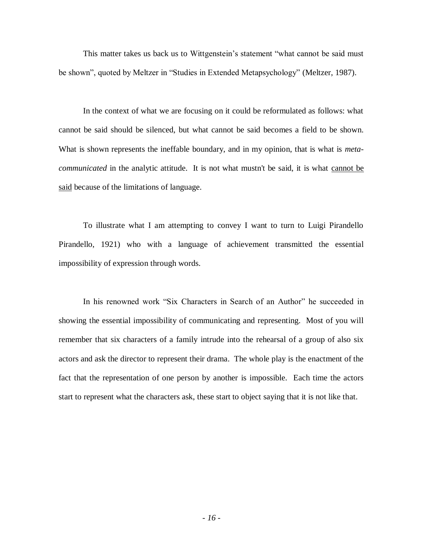This matter takes us back us to Wittgenstein's statement "what cannot be said must be shown", quoted by Meltzer in "Studies in Extended Metapsychology" (Meltzer, 1987).

In the context of what we are focusing on it could be reformulated as follows: what cannot be said should be silenced, but what cannot be said becomes a field to be shown. What is shown represents the ineffable boundary, and in my opinion, that is what is *metacommunicated* in the analytic attitude. It is not what mustn't be said, it is what cannot be said because of the limitations of language.

To illustrate what I am attempting to convey I want to turn to Luigi Pirandello Pirandello, 1921) who with a language of achievement transmitted the essential impossibility of expression through words.

In his renowned work "Six Characters in Search of an Author" he succeeded in showing the essential impossibility of communicating and representing. Most of you will remember that six characters of a family intrude into the rehearsal of a group of also six actors and ask the director to represent their drama. The whole play is the enactment of the fact that the representation of one person by another is impossible. Each time the actors start to represent what the characters ask, these start to object saying that it is not like that.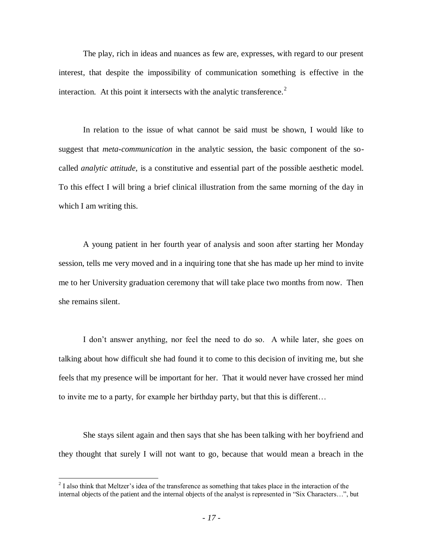The play, rich in ideas and nuances as few are, expresses, with regard to our present interest, that despite the impossibility of communication something is effective in the interaction. At this point it intersects with the analytic transference. $2$ 

In relation to the issue of what cannot be said must be shown, I would like to suggest that *meta-communication* in the analytic session, the basic component of the socalled *analytic attitude,* is a constitutive and essential part of the possible aesthetic model. To this effect I will bring a brief clinical illustration from the same morning of the day in which I am writing this.

A young patient in her fourth year of analysis and soon after starting her Monday session, tells me very moved and in a inquiring tone that she has made up her mind to invite me to her University graduation ceremony that will take place two months from now. Then she remains silent.

I don't answer anything, nor feel the need to do so. A while later, she goes on talking about how difficult she had found it to come to this decision of inviting me, but she feels that my presence will be important for her. That it would never have crossed her mind to invite me to a party, for example her birthday party, but that this is different…

She stays silent again and then says that she has been talking with her boyfriend and they thought that surely I will not want to go, because that would mean a breach in the

<sup>&</sup>lt;sup>2</sup> I also think that Meltzer's idea of the transference as something that takes place in the interaction of the internal objects of the patient and the internal objects of the analyst is represented in "Six Characters…", but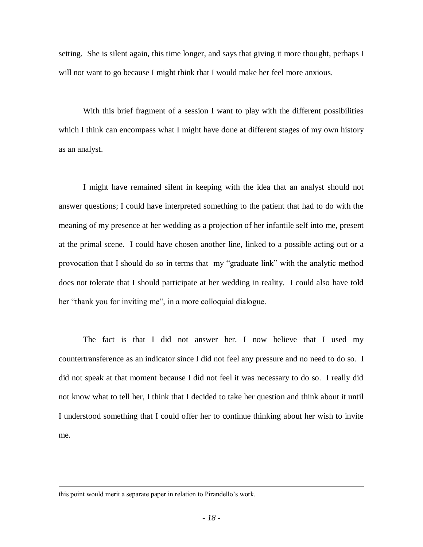setting. She is silent again, this time longer, and says that giving it more thought, perhaps I will not want to go because I might think that I would make her feel more anxious.

With this brief fragment of a session I want to play with the different possibilities which I think can encompass what I might have done at different stages of my own history as an analyst.

I might have remained silent in keeping with the idea that an analyst should not answer questions; I could have interpreted something to the patient that had to do with the meaning of my presence at her wedding as a projection of her infantile self into me, present at the primal scene. I could have chosen another line, linked to a possible acting out or a provocation that I should do so in terms that my "graduate link" with the analytic method does not tolerate that I should participate at her wedding in reality. I could also have told her "thank you for inviting me", in a more colloquial dialogue.

The fact is that I did not answer her. I now believe that I used my countertransference as an indicator since I did not feel any pressure and no need to do so. I did not speak at that moment because I did not feel it was necessary to do so. I really did not know what to tell her, I think that I decided to take her question and think about it until I understood something that I could offer her to continue thinking about her wish to invite me.

 $\overline{a}$ 

this point would merit a separate paper in relation to Pirandello's work.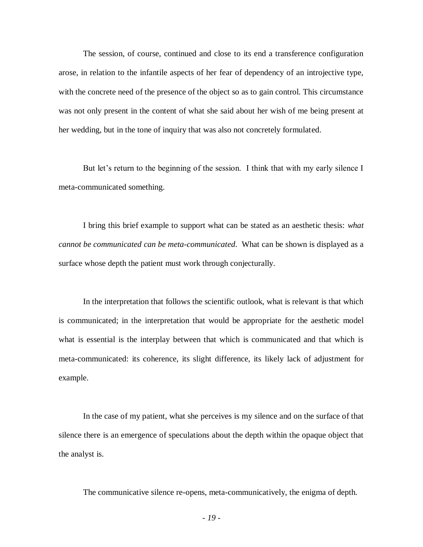The session, of course, continued and close to its end a transference configuration arose, in relation to the infantile aspects of her fear of dependency of an introjective type, with the concrete need of the presence of the object so as to gain control. This circumstance was not only present in the content of what she said about her wish of me being present at her wedding, but in the tone of inquiry that was also not concretely formulated.

But let's return to the beginning of the session. I think that with my early silence I meta-communicated something.

I bring this brief example to support what can be stated as an aesthetic thesis: *what cannot be communicated can be meta-communicated*. What can be shown is displayed as a surface whose depth the patient must work through conjecturally.

In the interpretation that follows the scientific outlook, what is relevant is that which is communicated; in the interpretation that would be appropriate for the aesthetic model what is essential is the interplay between that which is communicated and that which is meta-communicated: its coherence, its slight difference, its likely lack of adjustment for example.

In the case of my patient, what she perceives is my silence and on the surface of that silence there is an emergence of speculations about the depth within the opaque object that the analyst is.

The communicative silence re-opens, meta-communicatively, the enigma of depth.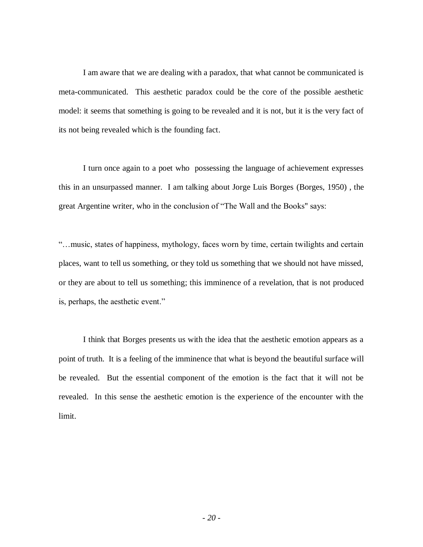I am aware that we are dealing with a paradox, that what cannot be communicated is meta-communicated. This aesthetic paradox could be the core of the possible aesthetic model: it seems that something is going to be revealed and it is not, but it is the very fact of its not being revealed which is the founding fact.

I turn once again to a poet who possessing the language of achievement expresses this in an unsurpassed manner. I am talking about Jorge Luis Borges (Borges, 1950) , the great Argentine writer, who in the conclusion of "The Wall and the Books" says:

"…music, states of happiness, mythology, faces worn by time, certain twilights and certain places, want to tell us something, or they told us something that we should not have missed, or they are about to tell us something; this imminence of a revelation, that is not produced is, perhaps, the aesthetic event."

I think that Borges presents us with the idea that the aesthetic emotion appears as a point of truth. It is a feeling of the imminence that what is beyond the beautiful surface will be revealed. But the essential component of the emotion is the fact that it will not be revealed. In this sense the aesthetic emotion is the experience of the encounter with the limit.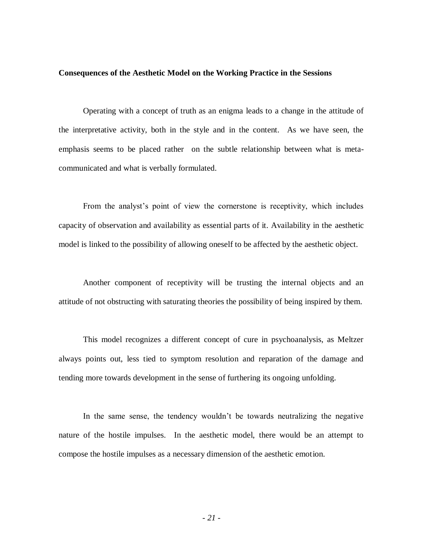#### **Consequences of the Aesthetic Model on the Working Practice in the Sessions**

Operating with a concept of truth as an enigma leads to a change in the attitude of the interpretative activity, both in the style and in the content. As we have seen, the emphasis seems to be placed rather on the subtle relationship between what is metacommunicated and what is verbally formulated.

From the analyst's point of view the cornerstone is receptivity, which includes capacity of observation and availability as essential parts of it. Availability in the aesthetic model is linked to the possibility of allowing oneself to be affected by the aesthetic object.

Another component of receptivity will be trusting the internal objects and an attitude of not obstructing with saturating theories the possibility of being inspired by them.

This model recognizes a different concept of cure in psychoanalysis, as Meltzer always points out, less tied to symptom resolution and reparation of the damage and tending more towards development in the sense of furthering its ongoing unfolding.

In the same sense, the tendency wouldn't be towards neutralizing the negative nature of the hostile impulses. In the aesthetic model, there would be an attempt to compose the hostile impulses as a necessary dimension of the aesthetic emotion.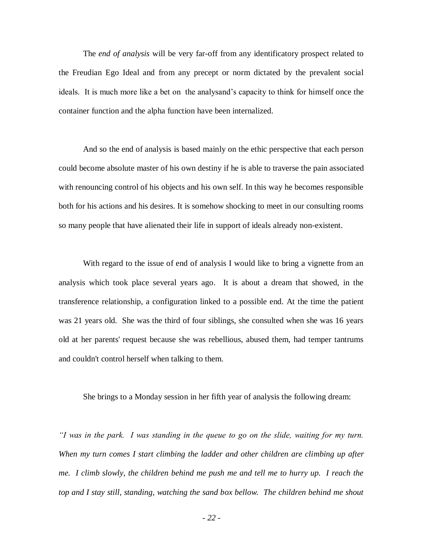The *end of analysis* will be very far-off from any identificatory prospect related to the Freudian Ego Ideal and from any precept or norm dictated by the prevalent social ideals. It is much more like a bet on the analysand's capacity to think for himself once the container function and the alpha function have been internalized.

And so the end of analysis is based mainly on the ethic perspective that each person could become absolute master of his own destiny if he is able to traverse the pain associated with renouncing control of his objects and his own self. In this way he becomes responsible both for his actions and his desires. It is somehow shocking to meet in our consulting rooms so many people that have alienated their life in support of ideals already non-existent.

With regard to the issue of end of analysis I would like to bring a vignette from an analysis which took place several years ago. It is about a dream that showed, in the transference relationship, a configuration linked to a possible end. At the time the patient was 21 years old. She was the third of four siblings, she consulted when she was 16 years old at her parents' request because she was rebellious, abused them, had temper tantrums and couldn't control herself when talking to them.

She brings to a Monday session in her fifth year of analysis the following dream:

*"I was in the park. I was standing in the queue to go on the slide, waiting for my turn. When my turn comes I start climbing the ladder and other children are climbing up after me. I climb slowly, the children behind me push me and tell me to hurry up. I reach the top and I stay still, standing, watching the sand box bellow. The children behind me shout*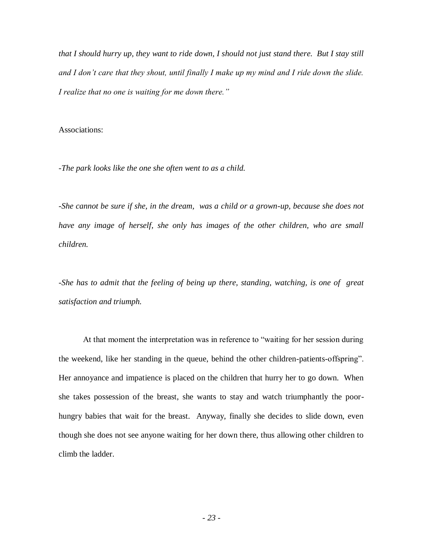*that I should hurry up, they want to ride down, I should not just stand there. But I stay still and I don't care that they shout, until finally I make up my mind and I ride down the slide. I realize that no one is waiting for me down there."*

Associations:

*-The park looks like the one she often went to as a child.*

*-She cannot be sure if she, in the dream, was a child or a grown-up, because she does not have any image of herself, she only has images of the other children, who are small children.*

*-She has to admit that the feeling of being up there, standing, watching, is one of great satisfaction and triumph.*

At that moment the interpretation was in reference to "waiting for her session during the weekend, like her standing in the queue, behind the other children-patients-offspring". Her annoyance and impatience is placed on the children that hurry her to go down. When she takes possession of the breast, she wants to stay and watch triumphantly the poorhungry babies that wait for the breast. Anyway, finally she decides to slide down, even though she does not see anyone waiting for her down there, thus allowing other children to climb the ladder.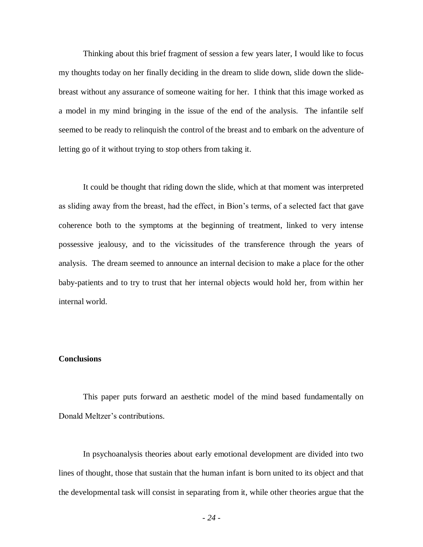Thinking about this brief fragment of session a few years later, I would like to focus my thoughts today on her finally deciding in the dream to slide down, slide down the slidebreast without any assurance of someone waiting for her. I think that this image worked as a model in my mind bringing in the issue of the end of the analysis. The infantile self seemed to be ready to relinquish the control of the breast and to embark on the adventure of letting go of it without trying to stop others from taking it.

It could be thought that riding down the slide, which at that moment was interpreted as sliding away from the breast, had the effect, in Bion's terms, of a selected fact that gave coherence both to the symptoms at the beginning of treatment, linked to very intense possessive jealousy, and to the vicissitudes of the transference through the years of analysis. The dream seemed to announce an internal decision to make a place for the other baby-patients and to try to trust that her internal objects would hold her, from within her internal world.

### **Conclusions**

This paper puts forward an aesthetic model of the mind based fundamentally on Donald Meltzer's contributions.

In psychoanalysis theories about early emotional development are divided into two lines of thought, those that sustain that the human infant is born united to its object and that the developmental task will consist in separating from it, while other theories argue that the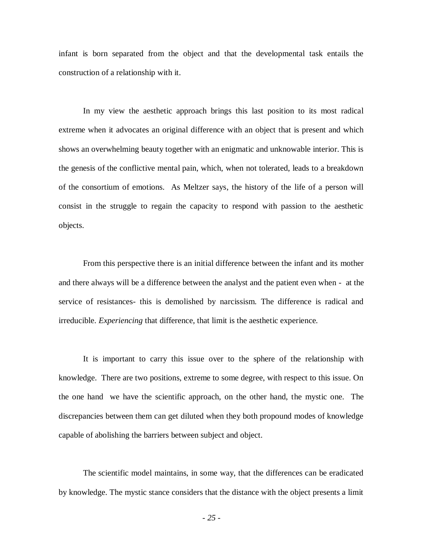infant is born separated from the object and that the developmental task entails the construction of a relationship with it.

In my view the aesthetic approach brings this last position to its most radical extreme when it advocates an original difference with an object that is present and which shows an overwhelming beauty together with an enigmatic and unknowable interior. This is the genesis of the conflictive mental pain, which, when not tolerated, leads to a breakdown of the consortium of emotions. As Meltzer says, the history of the life of a person will consist in the struggle to regain the capacity to respond with passion to the aesthetic objects.

From this perspective there is an initial difference between the infant and its mother and there always will be a difference between the analyst and the patient even when - at the service of resistances- this is demolished by narcissism. The difference is radical and irreducible. *Experiencing* that difference, that limit is the aesthetic experience*.*

It is important to carry this issue over to the sphere of the relationship with knowledge. There are two positions, extreme to some degree, with respect to this issue. On the one hand we have the scientific approach, on the other hand, the mystic one. The discrepancies between them can get diluted when they both propound modes of knowledge capable of abolishing the barriers between subject and object.

The scientific model maintains, in some way, that the differences can be eradicated by knowledge. The mystic stance considers that the distance with the object presents a limit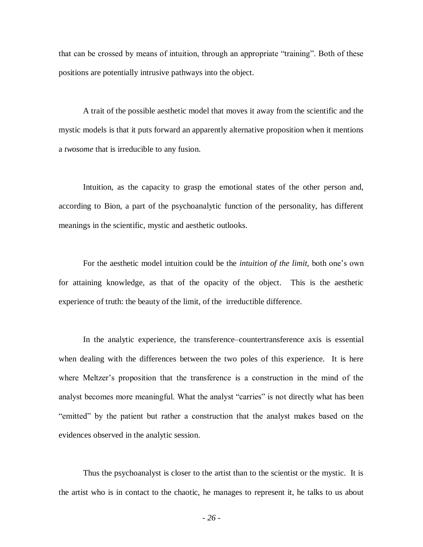that can be crossed by means of intuition, through an appropriate "training". Both of these positions are potentially intrusive pathways into the object.

A trait of the possible aesthetic model that moves it away from the scientific and the mystic models is that it puts forward an apparently alternative proposition when it mentions a *twosome* that is irreducible to any fusion.

Intuition, as the capacity to grasp the emotional states of the other person and, according to Bion, a part of the psychoanalytic function of the personality, has different meanings in the scientific, mystic and aesthetic outlooks.

For the aesthetic model intuition could be the *intuition of the limit,* both one's own for attaining knowledge, as that of the opacity of the object. This is the aesthetic experience of truth: the beauty of the limit, of the irreductible difference.

In the analytic experience, the transference–countertransference axis is essential when dealing with the differences between the two poles of this experience. It is here where Meltzer's proposition that the transference is a construction in the mind of the analyst becomes more meaningful. What the analyst "carries" is not directly what has been "emitted" by the patient but rather a construction that the analyst makes based on the evidences observed in the analytic session.

Thus the psychoanalyst is closer to the artist than to the scientist or the mystic. It is the artist who is in contact to the chaotic, he manages to represent it, he talks to us about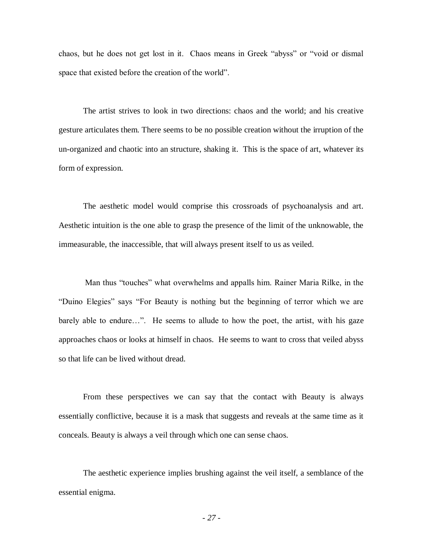chaos, but he does not get lost in it. Chaos means in Greek "abyss" or "void or dismal space that existed before the creation of the world".

The artist strives to look in two directions: chaos and the world; and his creative gesture articulates them. There seems to be no possible creation without the irruption of the un-organized and chaotic into an structure, shaking it. This is the space of art, whatever its form of expression.

The aesthetic model would comprise this crossroads of psychoanalysis and art. Aesthetic intuition is the one able to grasp the presence of the limit of the unknowable, the immeasurable, the inaccessible, that will always present itself to us as veiled.

Man thus "touches" what overwhelms and appalls him. Rainer Maria Rilke, in the "Duino Elegies" says "For Beauty is nothing but the beginning of terror which we are barely able to endure…". He seems to allude to how the poet, the artist, with his gaze approaches chaos or looks at himself in chaos. He seems to want to cross that veiled abyss so that life can be lived without dread.

From these perspectives we can say that the contact with Beauty is always essentially conflictive, because it is a mask that suggests and reveals at the same time as it conceals. Beauty is always a veil through which one can sense chaos.

The aesthetic experience implies brushing against the veil itself, a semblance of the essential enigma.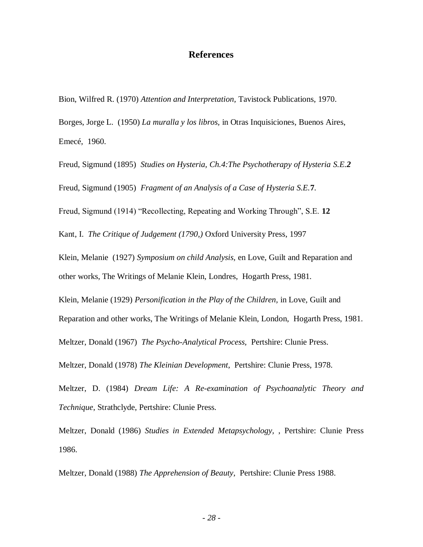# **References**

Bion, Wilfred R. (1970) *Attention and Interpretation,* Tavistock Publications, 1970.

Borges, Jorge L. (1950) *La muralla y los libros,* in Otras Inquisiciones*,* Buenos Aires, Emecé, 1960.

Freud, Sigmund (1895) *Studies on Hysteria, Ch.4:The Psychotherapy of Hysteria S.E.2*

Freud, Sigmund (1905) *Fragment of an Analysis of a Case of Hysteria S.E.***7**.

Freud, Sigmund (1914) "Recollecting, Repeating and Working Through", S.E. **12**

Kant, I. *The Critique of Judgement (1790,)* Oxford University Press, 1997

Klein, Melanie (1927) *Symposium on child Analysis,* en Love, Guilt and Reparation and other works, The Writings of Melanie Klein, Londres, Hogarth Press, 1981.

Klein, Melanie (1929) *Personification in the Play of the Children,* in Love, Guilt and

Reparation and other works, The Writings of Melanie Klein, London, Hogarth Press, 1981.

Meltzer, Donald (1967) *The Psycho-Analytical Process,* Pertshire: Clunie Press.

Meltzer, Donald (1978) *The Kleinian Development*, Pertshire: Clunie Press, 1978.

Meltzer, D. (1984) *Dream Life: A Re-examination of Psychoanalytic Theory and Technique*, Strathclyde, Pertshire: Clunie Press.

Meltzer, Donald (1986) *Studies in Extended Metapsychology,* , Pertshire: Clunie Press 1986.

Meltzer, Donald (1988) *The Apprehension of Beauty,* Pertshire: Clunie Press 1988.